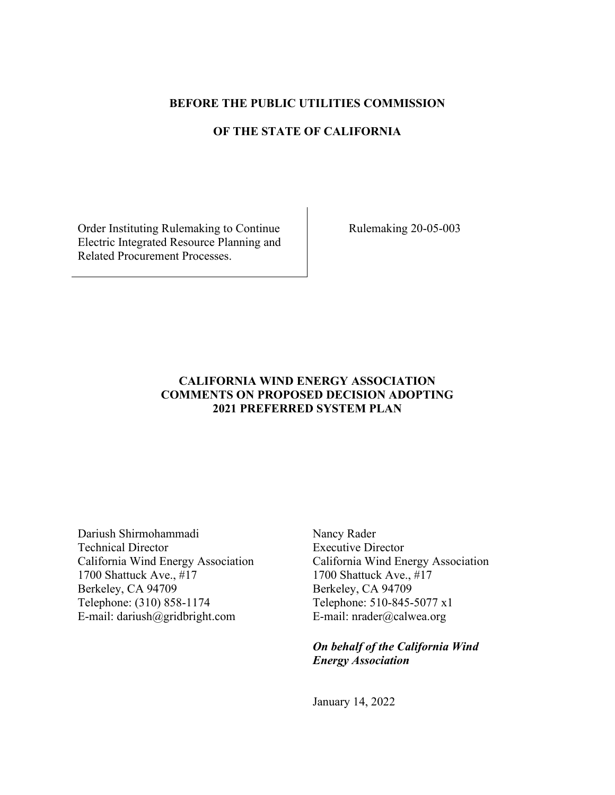### **BEFORE THE PUBLIC UTILITIES COMMISSION**

# **OF THE STATE OF CALIFORNIA**

Order Instituting Rulemaking to Continue Electric Integrated Resource Planning and Related Procurement Processes.

Rulemaking 20-05-003

# **CALIFORNIA WIND ENERGY ASSOCIATION COMMENTS ON PROPOSED DECISION ADOPTING 2021 PREFERRED SYSTEM PLAN**

Dariush Shirmohammadi Technical Director California Wind Energy Association 1700 Shattuck Ave., #17 Berkeley, CA 94709 Telephone: (310) 858-1174 E-mail: dariush@gridbright.com

Nancy Rader Executive Director California Wind Energy Association 1700 Shattuck Ave., #17 Berkeley, CA 94709 Telephone: 510-845-5077 x1 E-mail: nrader@calwea.org

*On behalf of the California Wind Energy Association* 

January 14, 2022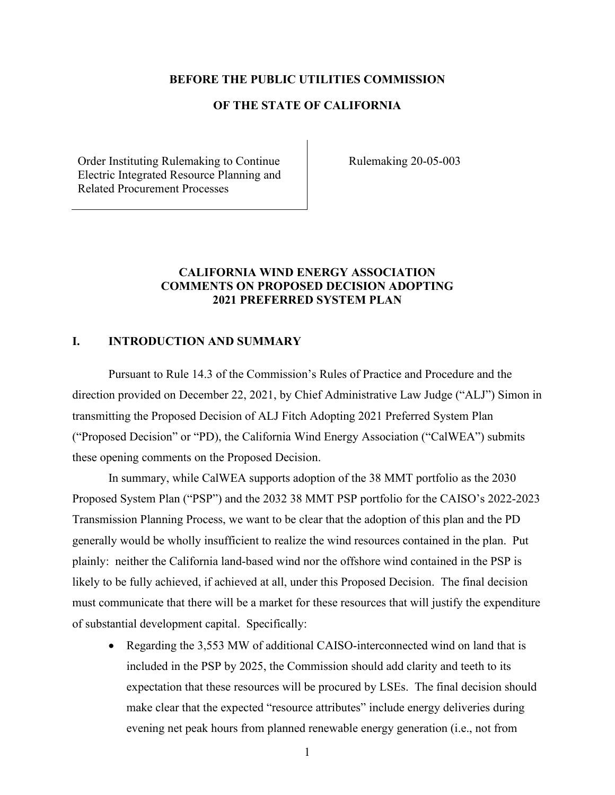#### **BEFORE THE PUBLIC UTILITIES COMMISSION**

## **OF THE STATE OF CALIFORNIA**

Order Instituting Rulemaking to Continue Electric Integrated Resource Planning and Related Procurement Processes

Rulemaking 20-05-003

# **CALIFORNIA WIND ENERGY ASSOCIATION COMMENTS ON PROPOSED DECISION ADOPTING 2021 PREFERRED SYSTEM PLAN**

#### **I. INTRODUCTION AND SUMMARY**

Pursuant to Rule 14.3 of the Commission's Rules of Practice and Procedure and the direction provided on December 22, 2021, by Chief Administrative Law Judge ("ALJ") Simon in transmitting the Proposed Decision of ALJ Fitch Adopting 2021 Preferred System Plan ("Proposed Decision" or "PD), the California Wind Energy Association ("CalWEA") submits these opening comments on the Proposed Decision.

In summary, while CalWEA supports adoption of the 38 MMT portfolio as the 2030 Proposed System Plan ("PSP") and the 2032 38 MMT PSP portfolio for the CAISO's 2022-2023 Transmission Planning Process, we want to be clear that the adoption of this plan and the PD generally would be wholly insufficient to realize the wind resources contained in the plan. Put plainly: neither the California land-based wind nor the offshore wind contained in the PSP is likely to be fully achieved, if achieved at all, under this Proposed Decision. The final decision must communicate that there will be a market for these resources that will justify the expenditure of substantial development capital. Specifically:

• Regarding the 3,553 MW of additional CAISO-interconnected wind on land that is included in the PSP by 2025, the Commission should add clarity and teeth to its expectation that these resources will be procured by LSEs. The final decision should make clear that the expected "resource attributes" include energy deliveries during evening net peak hours from planned renewable energy generation (i.e., not from

1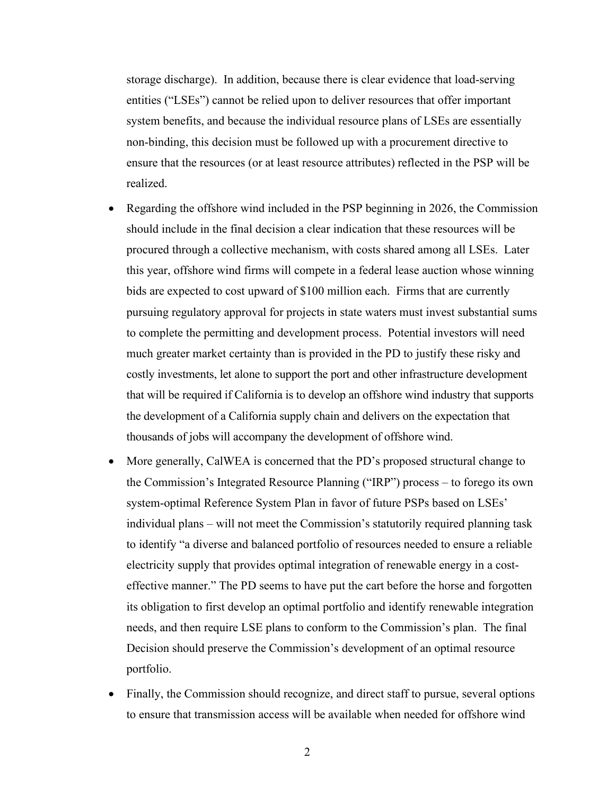storage discharge). In addition, because there is clear evidence that load-serving entities ("LSEs") cannot be relied upon to deliver resources that offer important system benefits, and because the individual resource plans of LSEs are essentially non-binding, this decision must be followed up with a procurement directive to ensure that the resources (or at least resource attributes) reflected in the PSP will be realized.

- Regarding the offshore wind included in the PSP beginning in 2026, the Commission should include in the final decision a clear indication that these resources will be procured through a collective mechanism, with costs shared among all LSEs. Later this year, offshore wind firms will compete in a federal lease auction whose winning bids are expected to cost upward of \$100 million each. Firms that are currently pursuing regulatory approval for projects in state waters must invest substantial sums to complete the permitting and development process. Potential investors will need much greater market certainty than is provided in the PD to justify these risky and costly investments, let alone to support the port and other infrastructure development that will be required if California is to develop an offshore wind industry that supports the development of a California supply chain and delivers on the expectation that thousands of jobs will accompany the development of offshore wind.
- More generally, CalWEA is concerned that the PD's proposed structural change to the Commission's Integrated Resource Planning ("IRP") process – to forego its own system-optimal Reference System Plan in favor of future PSPs based on LSEs' individual plans – will not meet the Commission's statutorily required planning task to identify "a diverse and balanced portfolio of resources needed to ensure a reliable electricity supply that provides optimal integration of renewable energy in a costeffective manner." The PD seems to have put the cart before the horse and forgotten its obligation to first develop an optimal portfolio and identify renewable integration needs, and then require LSE plans to conform to the Commission's plan. The final Decision should preserve the Commission's development of an optimal resource portfolio.
- Finally, the Commission should recognize, and direct staff to pursue, several options to ensure that transmission access will be available when needed for offshore wind

2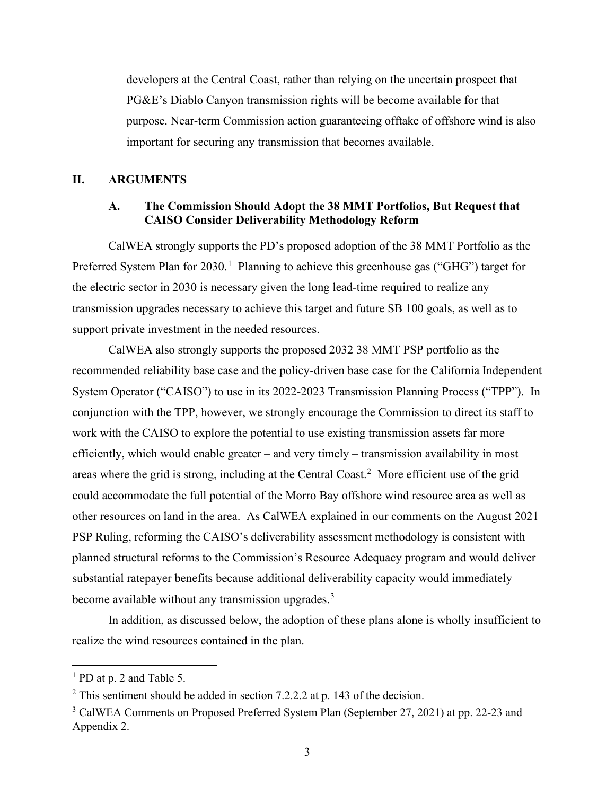developers at the Central Coast, rather than relying on the uncertain prospect that PG&E's Diablo Canyon transmission rights will be become available for that purpose. Near-term Commission action guaranteeing offtake of offshore wind is also important for securing any transmission that becomes available.

### **II. ARGUMENTS**

## **A. The Commission Should Adopt the 38 MMT Portfolios, But Request that CAISO Consider Deliverability Methodology Reform**

CalWEA strongly supports the PD's proposed adoption of the 38 MMT Portfolio as the Preferred System Plan for 2030.<sup>[1](#page-3-0)</sup> Planning to achieve this greenhouse gas ("GHG") target for the electric sector in 2030 is necessary given the long lead-time required to realize any transmission upgrades necessary to achieve this target and future SB 100 goals, as well as to support private investment in the needed resources.

CalWEA also strongly supports the proposed 2032 38 MMT PSP portfolio as the recommended reliability base case and the policy-driven base case for the California Independent System Operator ("CAISO") to use in its 2022-2023 Transmission Planning Process ("TPP"). In conjunction with the TPP, however, we strongly encourage the Commission to direct its staff to work with the CAISO to explore the potential to use existing transmission assets far more efficiently, which would enable greater – and very timely – transmission availability in most areas where the grid is strong, including at the Central Coast.<sup>[2](#page-3-1)</sup> More efficient use of the grid could accommodate the full potential of the Morro Bay offshore wind resource area as well as other resources on land in the area. As CalWEA explained in our comments on the August 2021 PSP Ruling, reforming the CAISO's deliverability assessment methodology is consistent with planned structural reforms to the Commission's Resource Adequacy program and would deliver substantial ratepayer benefits because additional deliverability capacity would immediately become available without any transmission upgrades. $3$ 

In addition, as discussed below, the adoption of these plans alone is wholly insufficient to realize the wind resources contained in the plan.

<span id="page-3-0"></span><sup>&</sup>lt;sup>1</sup> PD at p. 2 and Table 5.

<span id="page-3-1"></span><sup>&</sup>lt;sup>2</sup> This sentiment should be added in section 7.2.2.2 at p. 143 of the decision.

<span id="page-3-2"></span><sup>&</sup>lt;sup>3</sup> CalWEA Comments on Proposed Preferred System Plan (September 27, 2021) at pp. 22-23 and Appendix 2.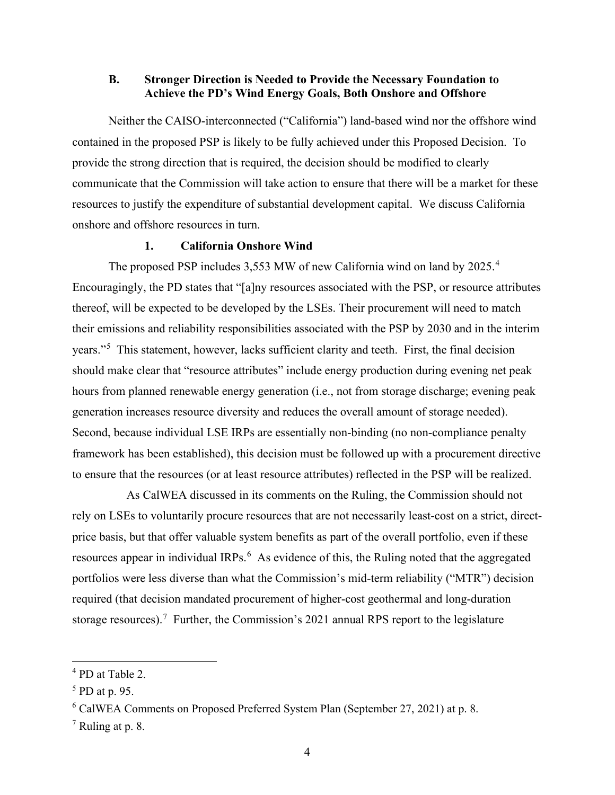### **B. Stronger Direction is Needed to Provide the Necessary Foundation to Achieve the PD's Wind Energy Goals, Both Onshore and Offshore**

Neither the CAISO-interconnected ("California") land-based wind nor the offshore wind contained in the proposed PSP is likely to be fully achieved under this Proposed Decision. To provide the strong direction that is required, the decision should be modified to clearly communicate that the Commission will take action to ensure that there will be a market for these resources to justify the expenditure of substantial development capital. We discuss California onshore and offshore resources in turn.

### **1. California Onshore Wind**

The proposed PSP includes 3,553 MW of new California wind on land by 2025.<sup>[4](#page-4-0)</sup> Encouragingly, the PD states that "[a]ny resources associated with the PSP, or resource attributes thereof, will be expected to be developed by the LSEs. Their procurement will need to match their emissions and reliability responsibilities associated with the PSP by 2030 and in the interim years."<sup>[5](#page-4-1)</sup> This statement, however, lacks sufficient clarity and teeth. First, the final decision should make clear that "resource attributes" include energy production during evening net peak hours from planned renewable energy generation (i.e., not from storage discharge; evening peak generation increases resource diversity and reduces the overall amount of storage needed). Second, because individual LSE IRPs are essentially non-binding (no non-compliance penalty framework has been established), this decision must be followed up with a procurement directive to ensure that the resources (or at least resource attributes) reflected in the PSP will be realized.

As CalWEA discussed in its comments on the Ruling, the Commission should not rely on LSEs to voluntarily procure resources that are not necessarily least-cost on a strict, directprice basis, but that offer valuable system benefits as part of the overall portfolio, even if these resources appear in individual IRPs.<sup>[6](#page-4-2)</sup> As evidence of this, the Ruling noted that the aggregated portfolios were less diverse than what the Commission's mid-term reliability ("MTR") decision required (that decision mandated procurement of higher-cost geothermal and long-duration storage resources).<sup>[7](#page-4-3)</sup> Further, the Commission's 2021 annual RPS report to the legislature

<span id="page-4-0"></span><sup>4</sup> PD at Table 2.

<span id="page-4-1"></span><sup>&</sup>lt;sup>5</sup> PD at p. 95.

<span id="page-4-2"></span><sup>6</sup> CalWEA Comments on Proposed Preferred System Plan (September 27, 2021) at p. 8.

<span id="page-4-3"></span> $7$  Ruling at p. 8.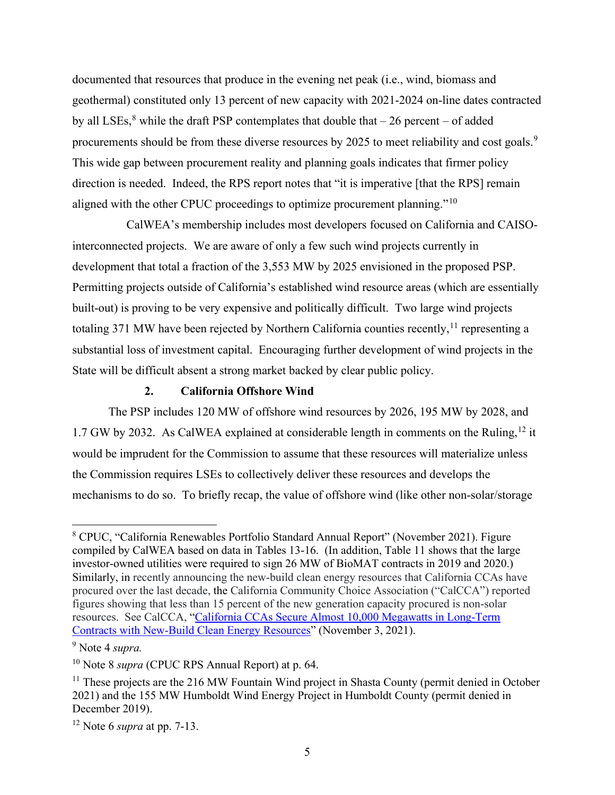documented that resources that produce in the evening net peak (i.e., wind, biomass and geothermal) constituted only 13 percent of new capacity with 2021-2024 on-line dates contracted by all LSEs,<sup>[8](#page-5-0)</sup> while the draft PSP contemplates that double that  $-26$  percent  $-$  of added procurements should be from these diverse resources by 2025 to meet reliability and cost goals.<sup>[9](#page-5-1)</sup> This wide gap between procurement reality and planning goals indicates that firmer policy direction is needed. Indeed, the RPS report notes that "it is imperative [that the RPS] remain aligned with the other CPUC proceedings to optimize procurement planning."[10](#page-5-2)

CalWEA's membership includes most developers focused on California and CAISOinterconnected projects. We are aware of only a few such wind projects currently in development that total a fraction of the 3,553 MW by 2025 envisioned in the proposed PSP. Permitting projects outside of California's established wind resource areas (which are essentially built-out) is proving to be very expensive and politically difficult. Two large wind projects totaling 371 MW have been rejected by Northern California counties recently,  $^{11}$  $^{11}$  $^{11}$  representing a substantial loss of investment capital. Encouraging further development of wind projects in the State will be difficult absent a strong market backed by clear public policy.

### **2. California Offshore Wind**

The PSP includes 120 MW of offshore wind resources by 2026, 195 MW by 2028, and 1.7 GW by 2032. As CalWEA explained at considerable length in comments on the Ruling,<sup>[12](#page-5-4)</sup> it would be imprudent for the Commission to assume that these resources will materialize unless the Commission requires LSEs to collectively deliver these resources and develops the mechanisms to do so. To briefly recap, the value of offshore wind (like other non-solar/storage

<span id="page-5-0"></span><sup>8</sup> CPUC, "California Renewables Portfolio Standard Annual Report" (November 2021). Figure compiled by CalWEA based on data in Tables 13-16. (In addition, Table 11 shows that the large investor-owned utilities were required to sign 26 MW of BioMAT contracts in 2019 and 2020.) Similarly, in recently announcing the new-build clean energy resources that California CCAs have procured over the last decade, the California Community Choice Association ("CalCCA") reported figures showing that less than 15 percent of the new generation capacity procured is non-solar resources. See CalCCA, ["California CCAs Secure Almost 10,000 Megawatts](https://cal-cca.org/california-ccas-secure-almost-10000-megawatts-in-long-term-contracts-with-new-build-clean-energy-resources/) in Long-Term Contracts with [New-Build Clean Energy Resources"](https://cal-cca.org/california-ccas-secure-almost-10000-megawatts-in-long-term-contracts-with-new-build-clean-energy-resources/) (November 3, 2021).

<span id="page-5-1"></span><sup>9</sup> Note 4 *supra.* 

<span id="page-5-2"></span><sup>10</sup> Note 8 *supra* (CPUC RPS Annual Report) at p. 64.

<span id="page-5-3"></span> $11$  These projects are the 216 MW Fountain Wind project in Shasta County (permit denied in October 2021) and the 155 MW Humboldt Wind Energy Project in Humboldt County (permit denied in December 2019).

<span id="page-5-4"></span><sup>12</sup> Note 6 *supra* at pp. 7-13.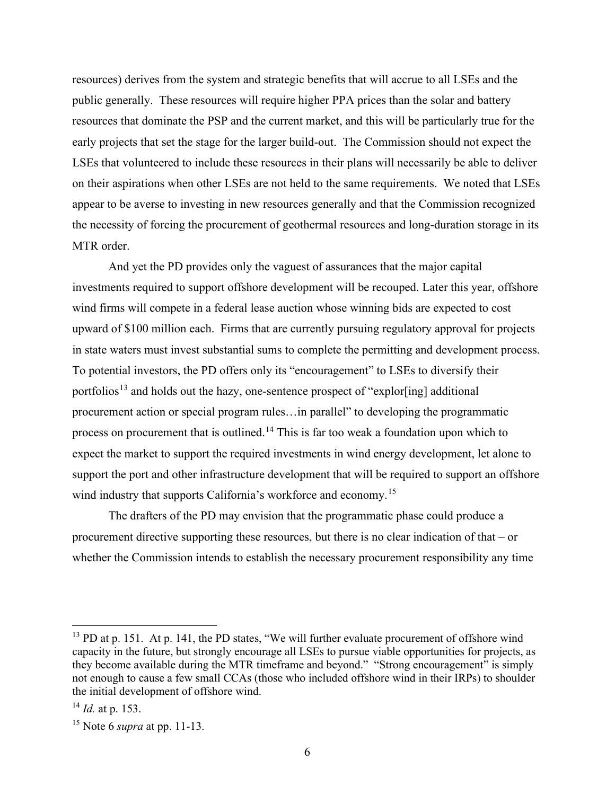resources) derives from the system and strategic benefits that will accrue to all LSEs and the public generally. These resources will require higher PPA prices than the solar and battery resources that dominate the PSP and the current market, and this will be particularly true for the early projects that set the stage for the larger build-out. The Commission should not expect the LSEs that volunteered to include these resources in their plans will necessarily be able to deliver on their aspirations when other LSEs are not held to the same requirements. We noted that LSEs appear to be averse to investing in new resources generally and that the Commission recognized the necessity of forcing the procurement of geothermal resources and long-duration storage in its MTR order.

And yet the PD provides only the vaguest of assurances that the major capital investments required to support offshore development will be recouped. Later this year, offshore wind firms will compete in a federal lease auction whose winning bids are expected to cost upward of \$100 million each. Firms that are currently pursuing regulatory approval for projects in state waters must invest substantial sums to complete the permitting and development process. To potential investors, the PD offers only its "encouragement" to LSEs to diversify their portfolios<sup>[13](#page-6-0)</sup> and holds out the hazy, one-sentence prospect of "explor[ing] additional procurement action or special program rules…in parallel" to developing the programmatic process on procurement that is outlined.<sup>14</sup> This is far too weak a foundation upon which to expect the market to support the required investments in wind energy development, let alone to support the port and other infrastructure development that will be required to support an offshore wind industry that supports California's workforce and economy.<sup>15</sup>

The drafters of the PD may envision that the programmatic phase could produce a procurement directive supporting these resources, but there is no clear indication of that – or whether the Commission intends to establish the necessary procurement responsibility any time

<span id="page-6-0"></span><sup>&</sup>lt;sup>13</sup> PD at p. 151. At p. 141, the PD states, "We will further evaluate procurement of offshore wind capacity in the future, but strongly encourage all LSEs to pursue viable opportunities for projects, as they become available during the MTR timeframe and beyond." "Strong encouragement" is simply not enough to cause a few small CCAs (those who included offshore wind in their IRPs) to shoulder the initial development of offshore wind.

<span id="page-6-1"></span><sup>14</sup> *Id.* at p. 153.

<span id="page-6-2"></span><sup>15</sup> Note 6 *supra* at pp. 11-13.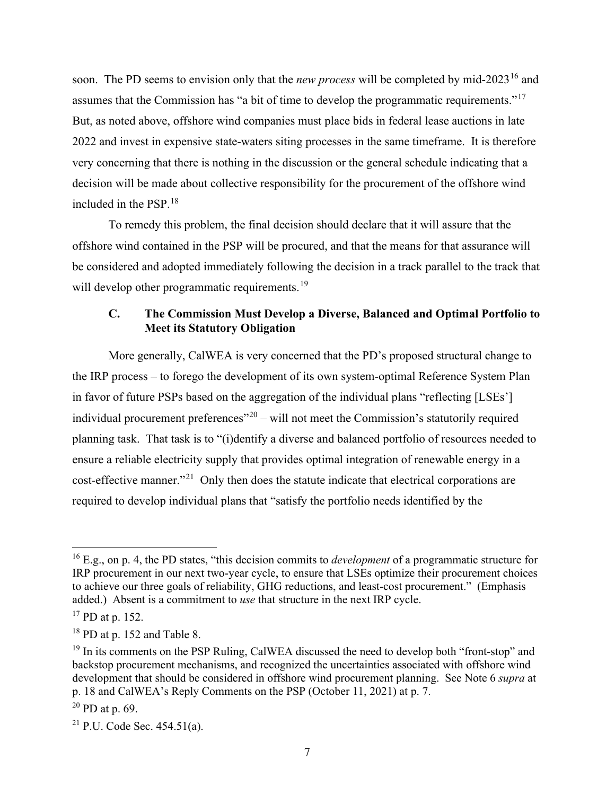soon. The PD seems to envision only that the *new process* will be completed by mid-2023<sup>[16](#page-7-0)</sup> and assumes that the Commission has "a bit of time to develop the programmatic requirements."[17](#page-7-1) But, as noted above, offshore wind companies must place bids in federal lease auctions in late 2022 and invest in expensive state-waters siting processes in the same timeframe. It is therefore very concerning that there is nothing in the discussion or the general schedule indicating that a decision will be made about collective responsibility for the procurement of the offshore wind included in the PSP.[18](#page-7-2) 

To remedy this problem, the final decision should declare that it will assure that the offshore wind contained in the PSP will be procured, and that the means for that assurance will be considered and adopted immediately following the decision in a track parallel to the track that will develop other programmatic requirements.<sup>19</sup>

## **C. The Commission Must Develop a Diverse, Balanced and Optimal Portfolio to Meet its Statutory Obligation**

More generally, CalWEA is very concerned that the PD's proposed structural change to the IRP process – to forego the development of its own system-optimal Reference System Plan in favor of future PSPs based on the aggregation of the individual plans "reflecting [LSEs'] individual procurement preferences<sup> $20$ </sup> – will not meet the Commission's statutorily required planning task. That task is to "(i)dentify a diverse and balanced portfolio of resources needed to ensure a reliable electricity supply that provides optimal integration of renewable energy in a cost-effective manner."[21](#page-7-5) Only then does the statute indicate that electrical corporations are required to develop individual plans that "satisfy the portfolio needs identified by the

<span id="page-7-0"></span><sup>16</sup> E.g., on p. 4, the PD states, "this decision commits to *development* of a programmatic structure for IRP procurement in our next two-year cycle, to ensure that LSEs optimize their procurement choices to achieve our three goals of reliability, GHG reductions, and least-cost procurement." (Emphasis added.) Absent is a commitment to *use* that structure in the next IRP cycle.

<span id="page-7-1"></span><sup>&</sup>lt;sup>17</sup> PD at p. 152.

<span id="page-7-2"></span><sup>&</sup>lt;sup>18</sup> PD at p. 152 and Table 8.

<span id="page-7-3"></span> $19$  In its comments on the PSP Ruling, CalWEA discussed the need to develop both "front-stop" and backstop procurement mechanisms, and recognized the uncertainties associated with offshore wind development that should be considered in offshore wind procurement planning. See Note 6 *supra* at p. 18 and CalWEA's Reply Comments on the PSP (October 11, 2021) at p. 7.

<span id="page-7-4"></span> $20$  PD at p. 69.

<span id="page-7-5"></span><sup>&</sup>lt;sup>21</sup> P.U. Code Sec.  $454.51(a)$ .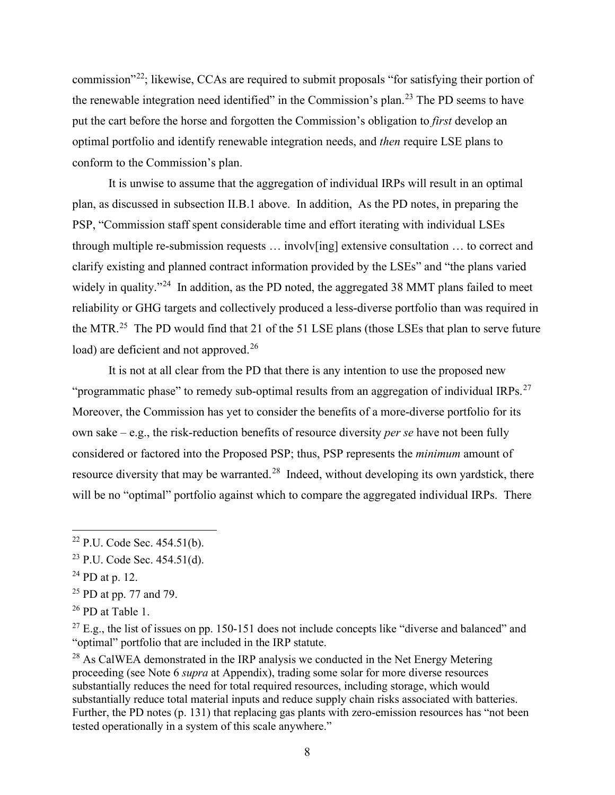commission"[22](#page-8-0); likewise, CCAs are required to submit proposals "for satisfying their portion of the renewable integration need identified" in the Commission's plan.<sup>[23](#page-8-1)</sup> The PD seems to have put the cart before the horse and forgotten the Commission's obligation to *first* develop an optimal portfolio and identify renewable integration needs, and *then* require LSE plans to conform to the Commission's plan.

It is unwise to assume that the aggregation of individual IRPs will result in an optimal plan, as discussed in subsection II.B.1 above. In addition, As the PD notes, in preparing the PSP, "Commission staff spent considerable time and effort iterating with individual LSEs through multiple re-submission requests … involv[ing] extensive consultation … to correct and clarify existing and planned contract information provided by the LSEs" and "the plans varied widely in quality."<sup>[24](#page-8-2)</sup> In addition, as the PD noted, the aggregated 38 MMT plans failed to meet reliability or GHG targets and collectively produced a less-diverse portfolio than was required in the MTR.<sup>[25](#page-8-3)</sup> The PD would find that 21 of the 51 LSE plans (those LSEs that plan to serve future load) are deficient and not approved.<sup>[26](#page-8-4)</sup>

It is not at all clear from the PD that there is any intention to use the proposed new "programmatic phase" to remedy sub-optimal results from an aggregation of individual IRPs.<sup>[27](#page-8-5)</sup> Moreover, the Commission has yet to consider the benefits of a more-diverse portfolio for its own sake – e.g., the risk-reduction benefits of resource diversity *per se* have not been fully considered or factored into the Proposed PSP; thus, PSP represents the *minimum* amount of resource diversity that may be warranted.<sup>[28](#page-8-6)</sup> Indeed, without developing its own yardstick, there will be no "optimal" portfolio against which to compare the aggregated individual IRPs. There

<span id="page-8-3"></span> $25$  PD at pp. 77 and 79.

<span id="page-8-5"></span> $27$  E.g., the list of issues on pp. 150-151 does not include concepts like "diverse and balanced" and "optimal" portfolio that are included in the IRP statute.

<span id="page-8-6"></span><sup>28</sup> As CalWEA demonstrated in the IRP analysis we conducted in the Net Energy Metering proceeding (see Note 6 *supra* at Appendix), trading some solar for more diverse resources substantially reduces the need for total required resources, including storage, which would substantially reduce total material inputs and reduce supply chain risks associated with batteries. Further, the PD notes (p. 131) that replacing gas plants with zero-emission resources has "not been tested operationally in a system of this scale anywhere."

<span id="page-8-0"></span> $22$  P.U. Code Sec. 454.51(b).

<span id="page-8-1"></span> $23$  P.U. Code Sec. 454.51(d).

<span id="page-8-2"></span> $24$  PD at p. 12.

<span id="page-8-4"></span> $26$  PD at Table 1.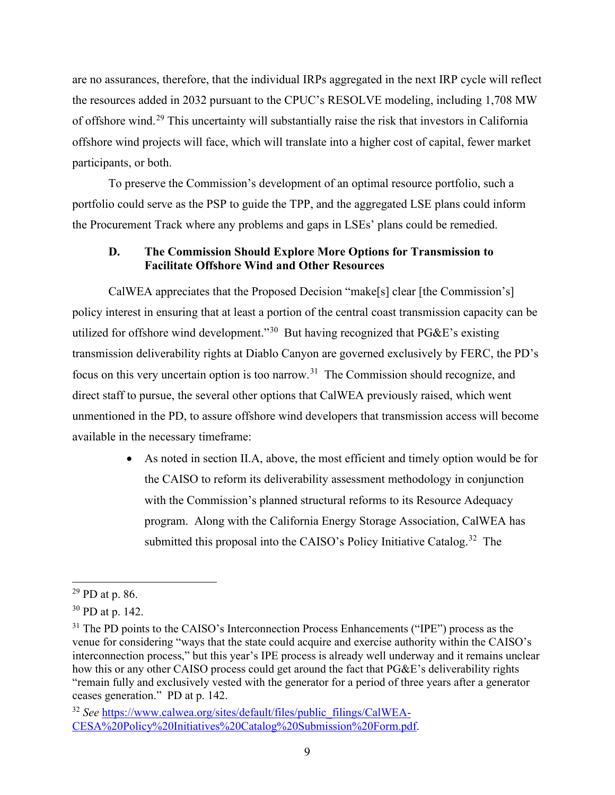are no assurances, therefore, that the individual IRPs aggregated in the next IRP cycle will reflect the resources added in 2032 pursuant to the CPUC's RESOLVE modeling, including 1,708 MW of offshore wind.[29](#page-9-0) This uncertainty will substantially raise the risk that investors in California offshore wind projects will face, which will translate into a higher cost of capital, fewer market participants, or both.

To preserve the Commission's development of an optimal resource portfolio, such a portfolio could serve as the PSP to guide the TPP, and the aggregated LSE plans could inform the Procurement Track where any problems and gaps in LSEs' plans could be remedied.

## **D. The Commission Should Explore More Options for Transmission to Facilitate Offshore Wind and Other Resources**

CalWEA appreciates that the Proposed Decision "make[s] clear [the Commission's] policy interest in ensuring that at least a portion of the central coast transmission capacity can be utilized for offshore wind development."[30](#page-9-1) But having recognized that PG&E's existing transmission deliverability rights at Diablo Canyon are governed exclusively by FERC, the PD's focus on this very uncertain option is too narrow.<sup>[31](#page-9-2)</sup> The Commission should recognize, and direct staff to pursue, the several other options that CalWEA previously raised, which went unmentioned in the PD, to assure offshore wind developers that transmission access will become available in the necessary timeframe:

> • As noted in section II.A, above, the most efficient and timely option would be for the CAISO to reform its deliverability assessment methodology in conjunction with the Commission's planned structural reforms to its Resource Adequacy program. Along with the California Energy Storage Association, CalWEA has submitted this proposal into the CAISO's Policy Initiative Catalog.<sup>32</sup> The

<span id="page-9-0"></span> $29$  PD at p. 86.

<span id="page-9-1"></span><sup>30</sup> PD at p. 142.

<span id="page-9-2"></span> $31$  The PD points to the CAISO's Interconnection Process Enhancements ("IPE") process as the venue for considering "ways that the state could acquire and exercise authority within the CAISO's interconnection process," but this year's IPE process is already well underway and it remains unclear how this or any other CAISO process could get around the fact that PG&E's deliverability rights "remain fully and exclusively vested with the generator for a period of three years after a generator ceases generation." PD at p. 142.

<span id="page-9-3"></span><sup>&</sup>lt;sup>32</sup> See [https://www.calwea.org/sites/default/files/public\\_filings/CalWEA-](https://www.calwea.org/sites/default/files/public_filings/CalWEA-CESA%20Policy%20Initiatives%20Catalog%20Submission%20Form.pdf)[CESA%20Policy%20Initiatives%20Catalog%20Submission%20Form.pdf.](https://www.calwea.org/sites/default/files/public_filings/CalWEA-CESA%20Policy%20Initiatives%20Catalog%20Submission%20Form.pdf)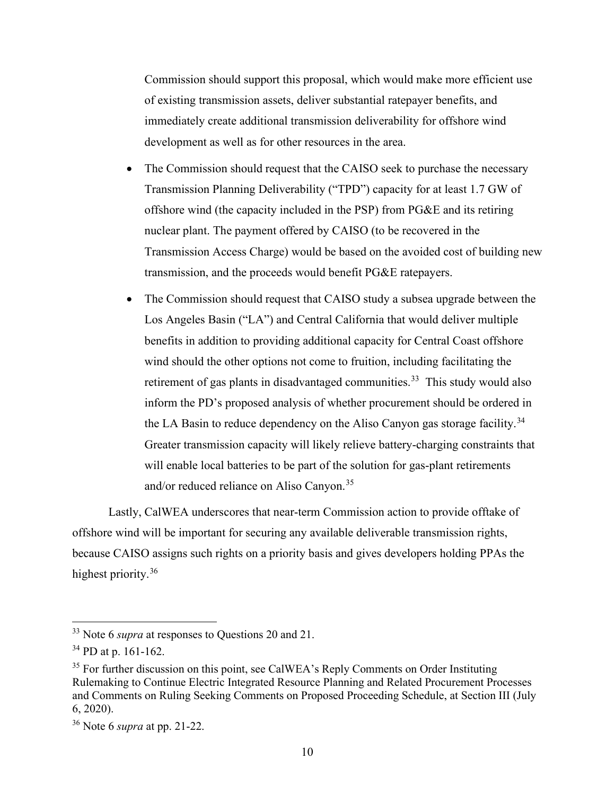Commission should support this proposal, which would make more efficient use of existing transmission assets, deliver substantial ratepayer benefits, and immediately create additional transmission deliverability for offshore wind development as well as for other resources in the area.

- The Commission should request that the CAISO seek to purchase the necessary Transmission Planning Deliverability ("TPD") capacity for at least 1.7 GW of offshore wind (the capacity included in the PSP) from PG&E and its retiring nuclear plant. The payment offered by CAISO (to be recovered in the Transmission Access Charge) would be based on the avoided cost of building new transmission, and the proceeds would benefit PG&E ratepayers.
- The Commission should request that CAISO study a subsea upgrade between the Los Angeles Basin ("LA") and Central California that would deliver multiple benefits in addition to providing additional capacity for Central Coast offshore wind should the other options not come to fruition, including facilitating the retirement of gas plants in disadvantaged communities.<sup>33</sup> This study would also inform the PD's proposed analysis of whether procurement should be ordered in the LA Basin to reduce dependency on the Aliso Canyon gas storage facility.<sup>34</sup> Greater transmission capacity will likely relieve battery-charging constraints that will enable local batteries to be part of the solution for gas-plant retirements and/or reduced reliance on Aliso Canyon.<sup>[35](#page-10-2)</sup>

Lastly, CalWEA underscores that near-term Commission action to provide offtake of offshore wind will be important for securing any available deliverable transmission rights, because CAISO assigns such rights on a priority basis and gives developers holding PPAs the highest priority.<sup>[36](#page-10-3)</sup>

<span id="page-10-0"></span><sup>33</sup> Note 6 *supra* at responses to Questions 20 and 21.

<span id="page-10-1"></span><sup>34</sup> PD at p. 161-162.

<span id="page-10-2"></span> $35$  For further discussion on this point, see CalWEA's Reply Comments on Order Instituting Rulemaking to Continue Electric Integrated Resource Planning and Related Procurement Processes and Comments on Ruling Seeking Comments on Proposed Proceeding Schedule, at Section III (July 6, 2020).

<span id="page-10-3"></span><sup>36</sup> Note 6 *supra* at pp. 21-22.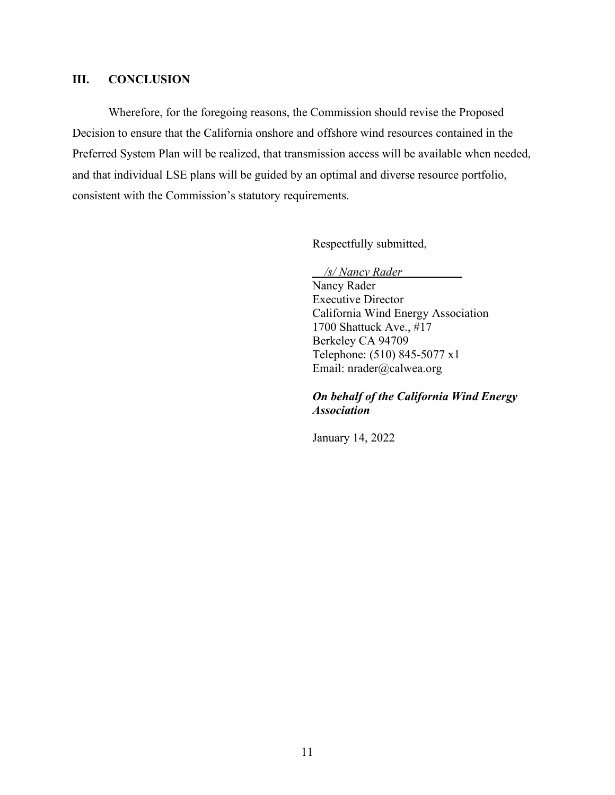### **III. CONCLUSION**

Wherefore, for the foregoing reasons, the Commission should revise the Proposed Decision to ensure that the California onshore and offshore wind resources contained in the Preferred System Plan will be realized, that transmission access will be available when needed, and that individual LSE plans will be guided by an optimal and diverse resource portfolio, consistent with the Commission's statutory requirements.

Respectfully submitted,

*/s/ Nancy Rader* 

Nancy Rader Executive Director California Wind Energy Association 1700 Shattuck Ave., #17 Berkeley CA 94709 Telephone: (510) 845-5077 x1 Email: nrader@calwea.org

### *On behalf of the California Wind Energy Association*

January 14, 2022